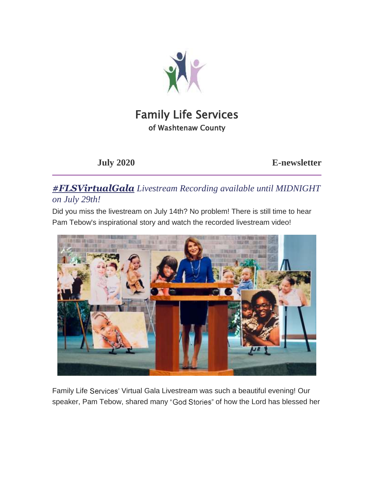

# Family Life Services of Washtenaw County

**July 2020 E-newsletter**

*#FLSVirtualGala Livestream Recording available until MIDNIGHT on July 29th!*

Did you miss the livestream on July 14th? No problem! There is still time to hear Pam Tebow's inspirational story and watch the recorded livestream video!



Family Life Services' Virtual Gala Livestream was such a beautiful evening! Our speaker, Pam Tebow, shared many "God Stories" of how the Lord has blessed her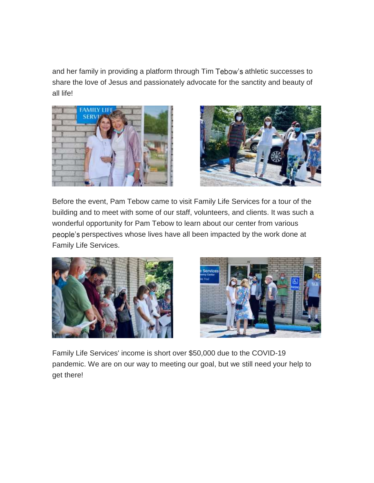and her family in providing a platform through Tim Tebow's athletic successes to share the love of Jesus and passionately advocate for the sanctity and beauty of all life!





Before the event, Pam Tebow came to visit Family Life Services for a tour of the building and to meet with some of our staff, volunteers, and clients. It was such a wonderful opportunity for Pam Tebow to learn about our center from various people's perspectives whose lives have all been impacted by the work done at Family Life Services.





Family Life Services' income is short over \$50,000 due to the COVID-19 pandemic. We are on our way to meeting our goal, but we still need your help to get there!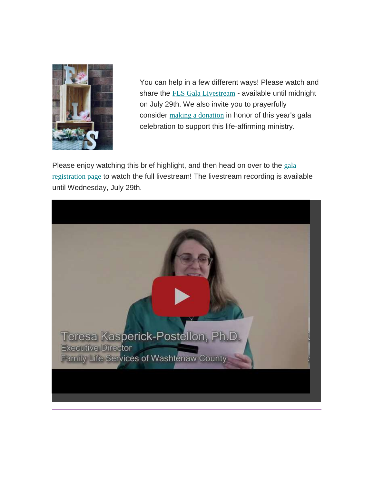

You can help in a few different ways! Please watch and share the FLS Gala [Livestream](https://nam10.safelinks.protection.outlook.com/?url=https%3A%2F%2Fflsfriends.us15.list-manage.com%2Ftrack%2Fclick%3Fu%3D89982264edd57efc015d389e2%26id%3D541da6f427%26e%3D0b71eeb927&data=02%7C01%7C%7Cd13af49b36cb4bf206d908d83364498e%7C84df9e7fe9f640afb435aaaaaaaaaaaa%7C1%7C0%7C637315853107264577&sdata=txww%2Fsvv5SRc%2BkloheZsEJ4K%2BL0cTDqdD%2FZFa0H43V4%3D&reserved=0) - available until midnight on July 29th. We also invite you to prayerfully consider making a [donation](https://nam10.safelinks.protection.outlook.com/?url=https%3A%2F%2Fflsfriends.us15.list-manage.com%2Ftrack%2Fclick%3Fu%3D89982264edd57efc015d389e2%26id%3D08b12e75dc%26e%3D0b71eeb927&data=02%7C01%7C%7Cd13af49b36cb4bf206d908d83364498e%7C84df9e7fe9f640afb435aaaaaaaaaaaa%7C1%7C0%7C637315853107264577&sdata=a7%2FQOF96iTw%2F5Gr6X9aDcIbkMgtoF4l%2BN6iOnIkwxN4%3D&reserved=0) in honor of this year's gala celebration to support this life-affirming ministry.

Please enjoy watching this brief highlight, and then head on over to the [gala](https://nam10.safelinks.protection.outlook.com/?url=https%3A%2F%2Fflsfriends.us15.list-manage.com%2Ftrack%2Fclick%3Fu%3D89982264edd57efc015d389e2%26id%3D10cd531981%26e%3D0b71eeb927&data=02%7C01%7C%7Cd13af49b36cb4bf206d908d83364498e%7C84df9e7fe9f640afb435aaaaaaaaaaaa%7C1%7C0%7C637315853107274572&sdata=GzXIJSIo5tKhT4re29DE9bIlAn1jJa3jigC9vaKE%2Fbo%3D&reserved=0) [registration](https://nam10.safelinks.protection.outlook.com/?url=https%3A%2F%2Fflsfriends.us15.list-manage.com%2Ftrack%2Fclick%3Fu%3D89982264edd57efc015d389e2%26id%3D10cd531981%26e%3D0b71eeb927&data=02%7C01%7C%7Cd13af49b36cb4bf206d908d83364498e%7C84df9e7fe9f640afb435aaaaaaaaaaaa%7C1%7C0%7C637315853107274572&sdata=GzXIJSIo5tKhT4re29DE9bIlAn1jJa3jigC9vaKE%2Fbo%3D&reserved=0) page to watch the full livestream! The livestream recording is available until Wednesday, July 29th.

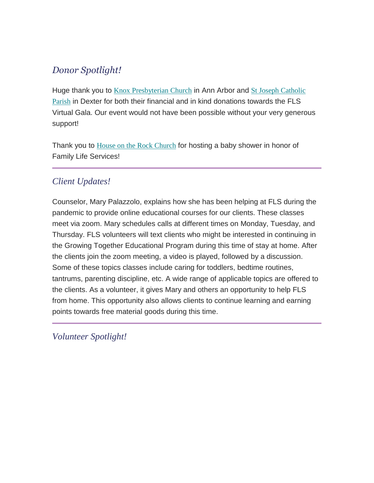## *Donor Spotlight!*

Huge thank you to **Knox [Presbyterian](https://nam10.safelinks.protection.outlook.com/?url=https%3A%2F%2Fflsfriends.us15.list-manage.com%2Ftrack%2Fclick%3Fu%3D89982264edd57efc015d389e2%26id%3D45d595c5b0%26e%3D0b71eeb927&data=02%7C01%7C%7Cd13af49b36cb4bf206d908d83364498e%7C84df9e7fe9f640afb435aaaaaaaaaaaa%7C1%7C0%7C637315853107284567&sdata=Zh7tLQB5jONrk7f4JVsRkVakFUZUTKC6rr60qKt81Xc%3D&reserved=0) Church** in Ann Arbor and St Joseph [Catholic](https://nam10.safelinks.protection.outlook.com/?url=https%3A%2F%2Fflsfriends.us15.list-manage.com%2Ftrack%2Fclick%3Fu%3D89982264edd57efc015d389e2%26id%3D749989e0e7%26e%3D0b71eeb927&data=02%7C01%7C%7Cd13af49b36cb4bf206d908d83364498e%7C84df9e7fe9f640afb435aaaaaaaaaaaa%7C1%7C0%7C637315853107284567&sdata=1zfPpfBASFCVVV30EHOJcZS1CREeEhZFgLvJyXGGsi8%3D&reserved=0) [Parish](https://nam10.safelinks.protection.outlook.com/?url=https%3A%2F%2Fflsfriends.us15.list-manage.com%2Ftrack%2Fclick%3Fu%3D89982264edd57efc015d389e2%26id%3D749989e0e7%26e%3D0b71eeb927&data=02%7C01%7C%7Cd13af49b36cb4bf206d908d83364498e%7C84df9e7fe9f640afb435aaaaaaaaaaaa%7C1%7C0%7C637315853107284567&sdata=1zfPpfBASFCVVV30EHOJcZS1CREeEhZFgLvJyXGGsi8%3D&reserved=0) in Dexter for both their financial and in kind donations towards the FLS Virtual Gala. Our event would not have been possible without your very generous support!

Thank you to House on the Rock [Church](https://nam10.safelinks.protection.outlook.com/?url=https%3A%2F%2Fflsfriends.us15.list-manage.com%2Ftrack%2Fclick%3Fu%3D89982264edd57efc015d389e2%26id%3D13ea80b2ae%26e%3D0b71eeb927&data=02%7C01%7C%7Cd13af49b36cb4bf206d908d83364498e%7C84df9e7fe9f640afb435aaaaaaaaaaaa%7C1%7C0%7C637315853107284567&sdata=RrFHrDScIyWcSw%2Bn%2B59ky2%2BnFCs8ui%2BZG%2BTaMf86VX0%3D&reserved=0) for hosting a baby shower in honor of Family Life Services!

## *Client Updates!*

Counselor, Mary Palazzolo, explains how she has been helping at FLS during the pandemic to provide online educational courses for our clients. These classes meet via zoom. Mary schedules calls at different times on Monday, Tuesday, and Thursday. FLS volunteers will text clients who might be interested in continuing in the Growing Together Educational Program during this time of stay at home. After the clients join the zoom meeting, a video is played, followed by a discussion. Some of these topics classes include caring for toddlers, bedtime routines, tantrums, parenting discipline, etc. A wide range of applicable topics are offered to the clients. As a volunteer, it gives Mary and others an opportunity to help FLS from home. This opportunity also allows clients to continue learning and earning points towards free material goods during this time.

*Volunteer Spotlight!*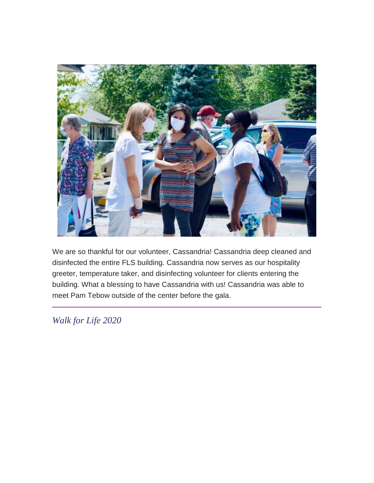

We are so thankful for our volunteer, Cassandria! Cassandria deep cleaned and disinfected the entire FLS building. Cassandria now serves as our hospitality greeter, temperature taker, and disinfecting volunteer for clients entering the building. What a blessing to have Cassandria with us! Cassandria was able to meet Pam Tebow outside of the center before the gala.

*Walk for Life 2020*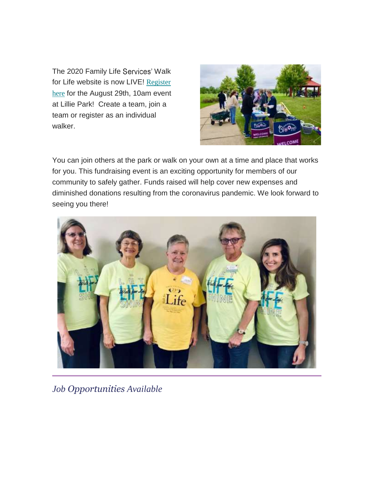The 2020 Family Life Services' Walk for Life website is now LIVE! [Register](https://nam10.safelinks.protection.outlook.com/?url=https%3A%2F%2Fflsfriends.us15.list-manage.com%2Ftrack%2Fclick%3Fu%3D89982264edd57efc015d389e2%26id%3D8322df6776%26e%3D0b71eeb927&data=02%7C01%7C%7Cd13af49b36cb4bf206d908d83364498e%7C84df9e7fe9f640afb435aaaaaaaaaaaa%7C1%7C0%7C637315853107294561&sdata=I9GW7y75Q9k%2FVkca20yHb7MxcYwPDyDDPpU94Yhjc9s%3D&reserved=0) [here](https://nam10.safelinks.protection.outlook.com/?url=https%3A%2F%2Fflsfriends.us15.list-manage.com%2Ftrack%2Fclick%3Fu%3D89982264edd57efc015d389e2%26id%3D8322df6776%26e%3D0b71eeb927&data=02%7C01%7C%7Cd13af49b36cb4bf206d908d83364498e%7C84df9e7fe9f640afb435aaaaaaaaaaaa%7C1%7C0%7C637315853107294561&sdata=I9GW7y75Q9k%2FVkca20yHb7MxcYwPDyDDPpU94Yhjc9s%3D&reserved=0) for the August 29th, 10am event at Lillie Park! Create a team, join a team or register as an individual walker.



You can join others at the park or walk on your own at a time and place that works for you. This fundraising event is an exciting opportunity for members of our community to safely gather. Funds raised will help cover new expenses and diminished donations resulting from the coronavirus pandemic. We look forward to seeing you there!



*Job Opportunities Available*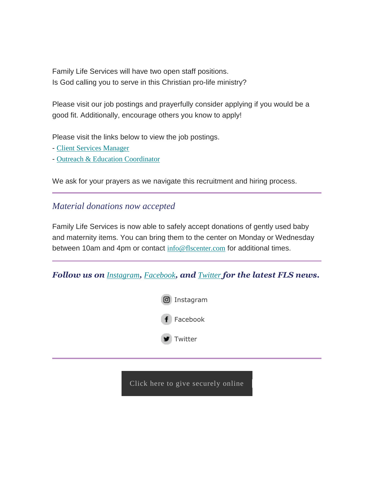Family Life Services will have two open staff positions. Is God calling you to serve in this Christian pro-life ministry?

Please visit our job postings and prayerfully consider applying if you would be a good fit. Additionally, encourage others you know to apply!

Please visit the links below to view the job postings.

- Client Services [Manager](https://nam10.safelinks.protection.outlook.com/?url=https%3A%2F%2Fflsfriends.us15.list-manage.com%2Ftrack%2Fclick%3Fu%3D89982264edd57efc015d389e2%26id%3Da37abd060a%26e%3D0b71eeb927&data=02%7C01%7C%7Cd13af49b36cb4bf206d908d83364498e%7C84df9e7fe9f640afb435aaaaaaaaaaaa%7C1%7C0%7C637315853107294561&sdata=siwDs0or4PQQ2fsb4ENoEiwaR%2BtwHoriZXSZIrS3Vf8%3D&reserved=0)
- Outreach & Education [Coordinator](https://nam10.safelinks.protection.outlook.com/?url=https%3A%2F%2Fflsfriends.us15.list-manage.com%2Ftrack%2Fclick%3Fu%3D89982264edd57efc015d389e2%26id%3D2a8aa39002%26e%3D0b71eeb927&data=02%7C01%7C%7Cd13af49b36cb4bf206d908d83364498e%7C84df9e7fe9f640afb435aaaaaaaaaaaa%7C1%7C0%7C637315853107304553&sdata=eOziwtwXwAXEyc6uZwbNflQ6GVG8O8sBENxwvnGoyZ8%3D&reserved=0)

We ask for your prayers as we navigate this recruitment and hiring process.

### *Material donations now accepted*

Family Life Services is now able to safely accept donations of gently used baby and maternity items. You can bring them to the center on Monday or Wednesday between 10am and 4pm or contact [info@flscenter.com](mailto:info@flscenter.com?subject=I%20would%20like%20to%20make%20a%20material%20goods%20donation) for additional times.

#### *Follow us on [Instagram](https://nam10.safelinks.protection.outlook.com/?url=https%3A%2F%2Fflsfriends.us15.list-manage.com%2Ftrack%2Fclick%3Fu%3D89982264edd57efc015d389e2%26id%3D1c224e7cb0%26e%3D0b71eeb927&data=02%7C01%7C%7Cd13af49b36cb4bf206d908d83364498e%7C84df9e7fe9f640afb435aaaaaaaaaaaa%7C1%7C0%7C637315853107304553&sdata=nYzoUpwVuZCvO52xRB0YkxPAvMeXQpyw2GTyQSm8XOQ%3D&reserved=0), [Facebook](https://nam10.safelinks.protection.outlook.com/?url=https%3A%2F%2Fflsfriends.us15.list-manage.com%2Ftrack%2Fclick%3Fu%3D89982264edd57efc015d389e2%26id%3D717a4ce3aa%26e%3D0b71eeb927&data=02%7C01%7C%7Cd13af49b36cb4bf206d908d83364498e%7C84df9e7fe9f640afb435aaaaaaaaaaaa%7C1%7C0%7C637315853107304553&sdata=jQXjzpctzX8tXD5q4DzXWw5IOKq6P8bcsJClMO9UUqU%3D&reserved=0), and [Twitter](https://nam10.safelinks.protection.outlook.com/?url=https%3A%2F%2Fflsfriends.us15.list-manage.com%2Ftrack%2Fclick%3Fu%3D89982264edd57efc015d389e2%26id%3D2534212ed4%26e%3D0b71eeb927&data=02%7C01%7C%7Cd13af49b36cb4bf206d908d83364498e%7C84df9e7fe9f640afb435aaaaaaaaaaaa%7C1%7C0%7C637315853107314547&sdata=dz5tSeHiV3fyIo7GteyRLAkdXR34PERPvv119FpcYT4%3D&reserved=0) for the latest FLS news.*